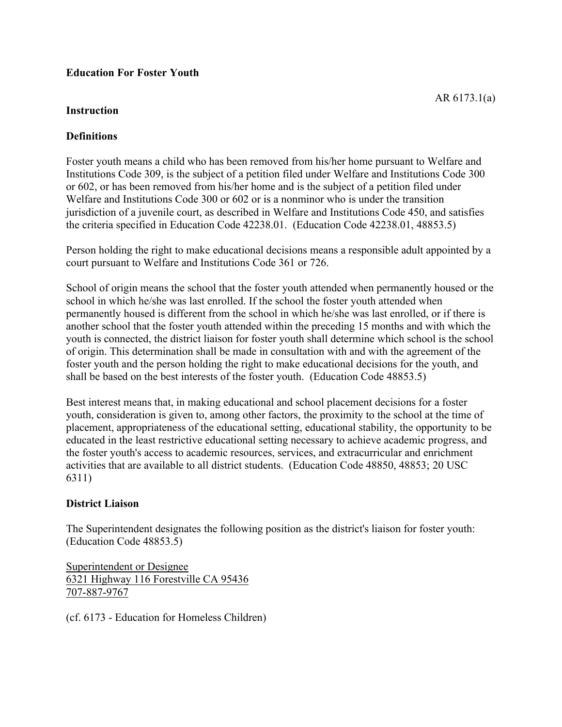### **Education For Foster Youth**

#### **Instruction**

#### **Definitions**

Foster youth means a child who has been removed from his/her home pursuant to Welfare and Institutions Code 309, is the subject of a petition filed under Welfare and Institutions Code 300 or 602, or has been removed from his/her home and is the subject of a petition filed under Welfare and Institutions Code 300 or 602 or is a nonminor who is under the transition jurisdiction of a juvenile court, as described in Welfare and Institutions Code 450, and satisfies the criteria specified in Education Code 42238.01. (Education Code 42238.01, 48853.5)

Person holding the right to make educational decisions means a responsible adult appointed by a court pursuant to Welfare and Institutions Code 361 or 726.

School of origin means the school that the foster youth attended when permanently housed or the school in which he/she was last enrolled. If the school the foster youth attended when permanently housed is different from the school in which he/she was last enrolled, or if there is another school that the foster youth attended within the preceding 15 months and with which the youth is connected, the district liaison for foster youth shall determine which school is the school of origin. This determination shall be made in consultation with and with the agreement of the foster youth and the person holding the right to make educational decisions for the youth, and shall be based on the best interests of the foster youth. (Education Code 48853.5)

Best interest means that, in making educational and school placement decisions for a foster youth, consideration is given to, among other factors, the proximity to the school at the time of placement, appropriateness of the educational setting, educational stability, the opportunity to be educated in the least restrictive educational setting necessary to achieve academic progress, and the foster youth's access to academic resources, services, and extracurricular and enrichment activities that are available to all district students. (Education Code 48850, 48853; 20 USC 6311)

# **District Liaison**

The Superintendent designates the following position as the district's liaison for foster youth: (Education Code 48853.5)

Superintendent or Designee 6321 Highway 116 Forestville CA 95436 707-887-9767

(cf. 6173 - Education for Homeless Children)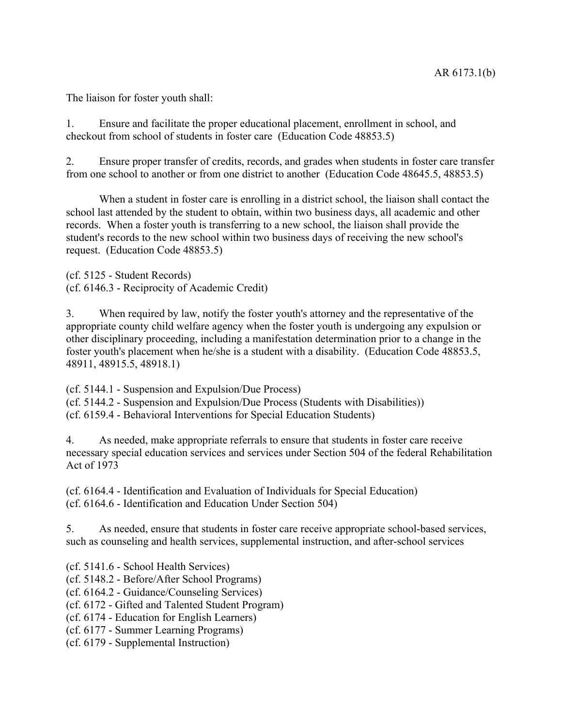The liaison for foster youth shall:

1. Ensure and facilitate the proper educational placement, enrollment in school, and checkout from school of students in foster care (Education Code 48853.5)

2. Ensure proper transfer of credits, records, and grades when students in foster care transfer from one school to another or from one district to another (Education Code 48645.5, 48853.5)

When a student in foster care is enrolling in a district school, the liaison shall contact the school last attended by the student to obtain, within two business days, all academic and other records. When a foster youth is transferring to a new school, the liaison shall provide the student's records to the new school within two business days of receiving the new school's request. (Education Code 48853.5)

(cf. 5125 - Student Records) (cf. 6146.3 - Reciprocity of Academic Credit)

3. When required by law, notify the foster youth's attorney and the representative of the appropriate county child welfare agency when the foster youth is undergoing any expulsion or other disciplinary proceeding, including a manifestation determination prior to a change in the foster youth's placement when he/she is a student with a disability. (Education Code 48853.5, 48911, 48915.5, 48918.1)

(cf. 5144.1 - Suspension and Expulsion/Due Process)

(cf. 5144.2 - Suspension and Expulsion/Due Process (Students with Disabilities))

(cf. 6159.4 - Behavioral Interventions for Special Education Students)

4. As needed, make appropriate referrals to ensure that students in foster care receive necessary special education services and services under Section 504 of the federal Rehabilitation Act of 1973

(cf. 6164.4 - Identification and Evaluation of Individuals for Special Education) (cf. 6164.6 - Identification and Education Under Section 504)

5. As needed, ensure that students in foster care receive appropriate school-based services, such as counseling and health services, supplemental instruction, and after-school services

(cf. 5141.6 - School Health Services)

(cf. 5148.2 - Before/After School Programs)

(cf. 6164.2 - Guidance/Counseling Services)

(cf. 6172 - Gifted and Talented Student Program)

(cf. 6174 - Education for English Learners)

(cf. 6177 - Summer Learning Programs)

(cf. 6179 - Supplemental Instruction)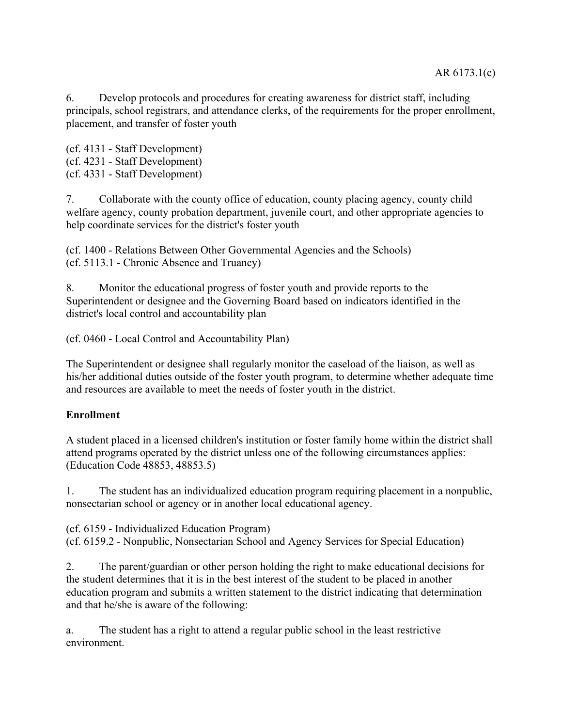6. Develop protocols and procedures for creating awareness for district staff, including principals, school registrars, and attendance clerks, of the requirements for the proper enrollment, placement, and transfer of foster youth

(cf. 4131 - Staff Development) (cf. 4231 - Staff Development) (cf. 4331 - Staff Development)

7. Collaborate with the county office of education, county placing agency, county child welfare agency, county probation department, juvenile court, and other appropriate agencies to help coordinate services for the district's foster youth

(cf. 1400 - Relations Between Other Governmental Agencies and the Schools) (cf. 5113.1 - Chronic Absence and Truancy)

8. Monitor the educational progress of foster youth and provide reports to the Superintendent or designee and the Governing Board based on indicators identified in the district's local control and accountability plan

(cf. 0460 - Local Control and Accountability Plan)

The Superintendent or designee shall regularly monitor the caseload of the liaison, as well as his/her additional duties outside of the foster youth program, to determine whether adequate time and resources are available to meet the needs of foster youth in the district.

# **Enrollment**

A student placed in a licensed children's institution or foster family home within the district shall attend programs operated by the district unless one of the following circumstances applies: (Education Code 48853, 48853.5)

1. The student has an individualized education program requiring placement in a nonpublic, nonsectarian school or agency or in another local educational agency.

(cf. 6159 - Individualized Education Program) (cf. 6159.2 - Nonpublic, Nonsectarian School and Agency Services for Special Education)

2. The parent/guardian or other person holding the right to make educational decisions for the student determines that it is in the best interest of the student to be placed in another education program and submits a written statement to the district indicating that determination and that he/she is aware of the following:

a. The student has a right to attend a regular public school in the least restrictive environment.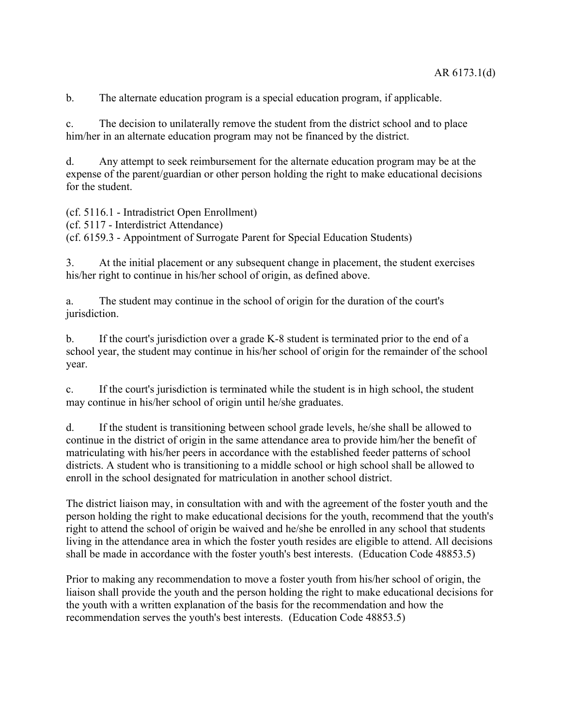b. The alternate education program is a special education program, if applicable.

c. The decision to unilaterally remove the student from the district school and to place him/her in an alternate education program may not be financed by the district.

d. Any attempt to seek reimbursement for the alternate education program may be at the expense of the parent/guardian or other person holding the right to make educational decisions for the student.

(cf. 5116.1 - Intradistrict Open Enrollment)

(cf. 5117 - Interdistrict Attendance)

(cf. 6159.3 - Appointment of Surrogate Parent for Special Education Students)

3. At the initial placement or any subsequent change in placement, the student exercises his/her right to continue in his/her school of origin, as defined above.

a. The student may continue in the school of origin for the duration of the court's jurisdiction.

b. If the court's jurisdiction over a grade K-8 student is terminated prior to the end of a school year, the student may continue in his/her school of origin for the remainder of the school year.

c. If the court's jurisdiction is terminated while the student is in high school, the student may continue in his/her school of origin until he/she graduates.

d. If the student is transitioning between school grade levels, he/she shall be allowed to continue in the district of origin in the same attendance area to provide him/her the benefit of matriculating with his/her peers in accordance with the established feeder patterns of school districts. A student who is transitioning to a middle school or high school shall be allowed to enroll in the school designated for matriculation in another school district.

The district liaison may, in consultation with and with the agreement of the foster youth and the person holding the right to make educational decisions for the youth, recommend that the youth's right to attend the school of origin be waived and he/she be enrolled in any school that students living in the attendance area in which the foster youth resides are eligible to attend. All decisions shall be made in accordance with the foster youth's best interests. (Education Code 48853.5)

Prior to making any recommendation to move a foster youth from his/her school of origin, the liaison shall provide the youth and the person holding the right to make educational decisions for the youth with a written explanation of the basis for the recommendation and how the recommendation serves the youth's best interests. (Education Code 48853.5)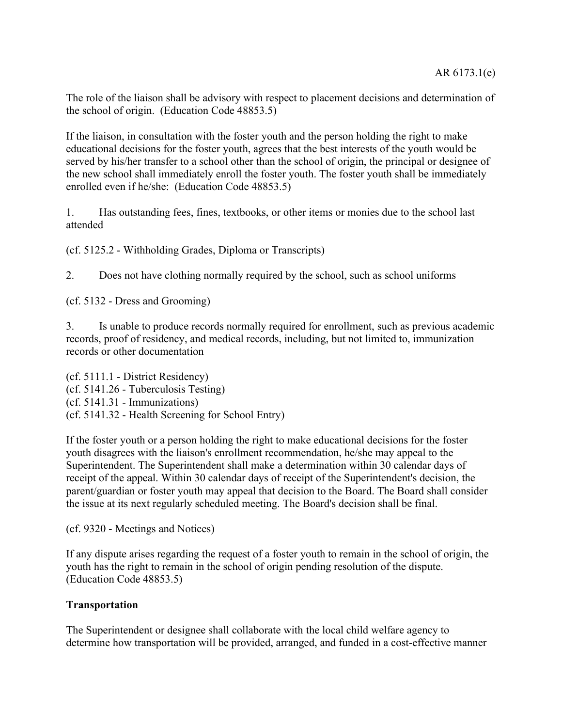The role of the liaison shall be advisory with respect to placement decisions and determination of the school of origin. (Education Code 48853.5)

If the liaison, in consultation with the foster youth and the person holding the right to make educational decisions for the foster youth, agrees that the best interests of the youth would be served by his/her transfer to a school other than the school of origin, the principal or designee of the new school shall immediately enroll the foster youth. The foster youth shall be immediately enrolled even if he/she: (Education Code 48853.5)

1. Has outstanding fees, fines, textbooks, or other items or monies due to the school last attended

(cf. 5125.2 - Withholding Grades, Diploma or Transcripts)

2. Does not have clothing normally required by the school, such as school uniforms

(cf. 5132 - Dress and Grooming)

3. Is unable to produce records normally required for enrollment, such as previous academic records, proof of residency, and medical records, including, but not limited to, immunization records or other documentation

(cf. 5111.1 - District Residency) (cf. 5141.26 - Tuberculosis Testing) (cf. 5141.31 - Immunizations) (cf. 5141.32 - Health Screening for School Entry)

If the foster youth or a person holding the right to make educational decisions for the foster youth disagrees with the liaison's enrollment recommendation, he/she may appeal to the Superintendent. The Superintendent shall make a determination within 30 calendar days of receipt of the appeal. Within 30 calendar days of receipt of the Superintendent's decision, the parent/guardian or foster youth may appeal that decision to the Board. The Board shall consider the issue at its next regularly scheduled meeting. The Board's decision shall be final.

(cf. 9320 - Meetings and Notices)

If any dispute arises regarding the request of a foster youth to remain in the school of origin, the youth has the right to remain in the school of origin pending resolution of the dispute. (Education Code 48853.5)

#### **Transportation**

The Superintendent or designee shall collaborate with the local child welfare agency to determine how transportation will be provided, arranged, and funded in a cost-effective manner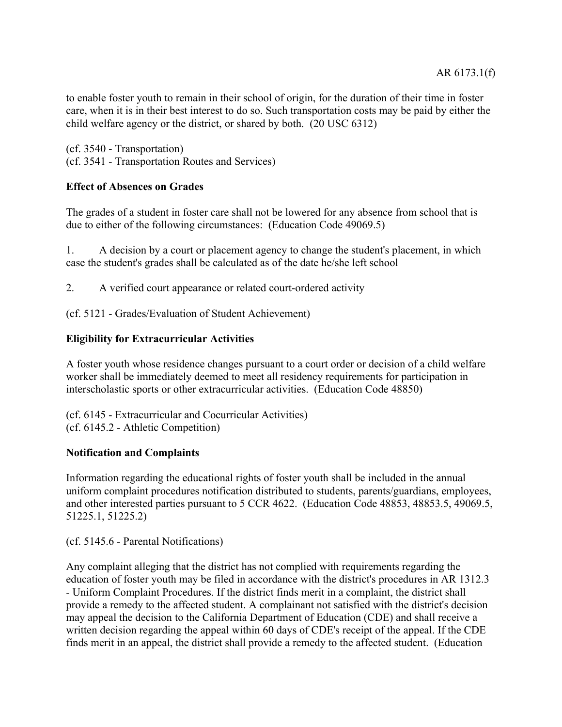to enable foster youth to remain in their school of origin, for the duration of their time in foster care, when it is in their best interest to do so. Such transportation costs may be paid by either the child welfare agency or the district, or shared by both. (20 USC 6312)

(cf. 3540 - Transportation) (cf. 3541 - Transportation Routes and Services)

# **Effect of Absences on Grades**

The grades of a student in foster care shall not be lowered for any absence from school that is due to either of the following circumstances: (Education Code 49069.5)

1. A decision by a court or placement agency to change the student's placement, in which case the student's grades shall be calculated as of the date he/she left school

2. A verified court appearance or related court-ordered activity

(cf. 5121 - Grades/Evaluation of Student Achievement)

### **Eligibility for Extracurricular Activities**

A foster youth whose residence changes pursuant to a court order or decision of a child welfare worker shall be immediately deemed to meet all residency requirements for participation in interscholastic sports or other extracurricular activities. (Education Code 48850)

(cf. 6145 - Extracurricular and Cocurricular Activities) (cf. 6145.2 - Athletic Competition)

#### **Notification and Complaints**

Information regarding the educational rights of foster youth shall be included in the annual uniform complaint procedures notification distributed to students, parents/guardians, employees, and other interested parties pursuant to 5 CCR 4622. (Education Code 48853, 48853.5, 49069.5, 51225.1, 51225.2)

(cf. 5145.6 - Parental Notifications)

Any complaint alleging that the district has not complied with requirements regarding the education of foster youth may be filed in accordance with the district's procedures in AR 1312.3 - Uniform Complaint Procedures. If the district finds merit in a complaint, the district shall provide a remedy to the affected student. A complainant not satisfied with the district's decision may appeal the decision to the California Department of Education (CDE) and shall receive a written decision regarding the appeal within 60 days of CDE's receipt of the appeal. If the CDE finds merit in an appeal, the district shall provide a remedy to the affected student. (Education